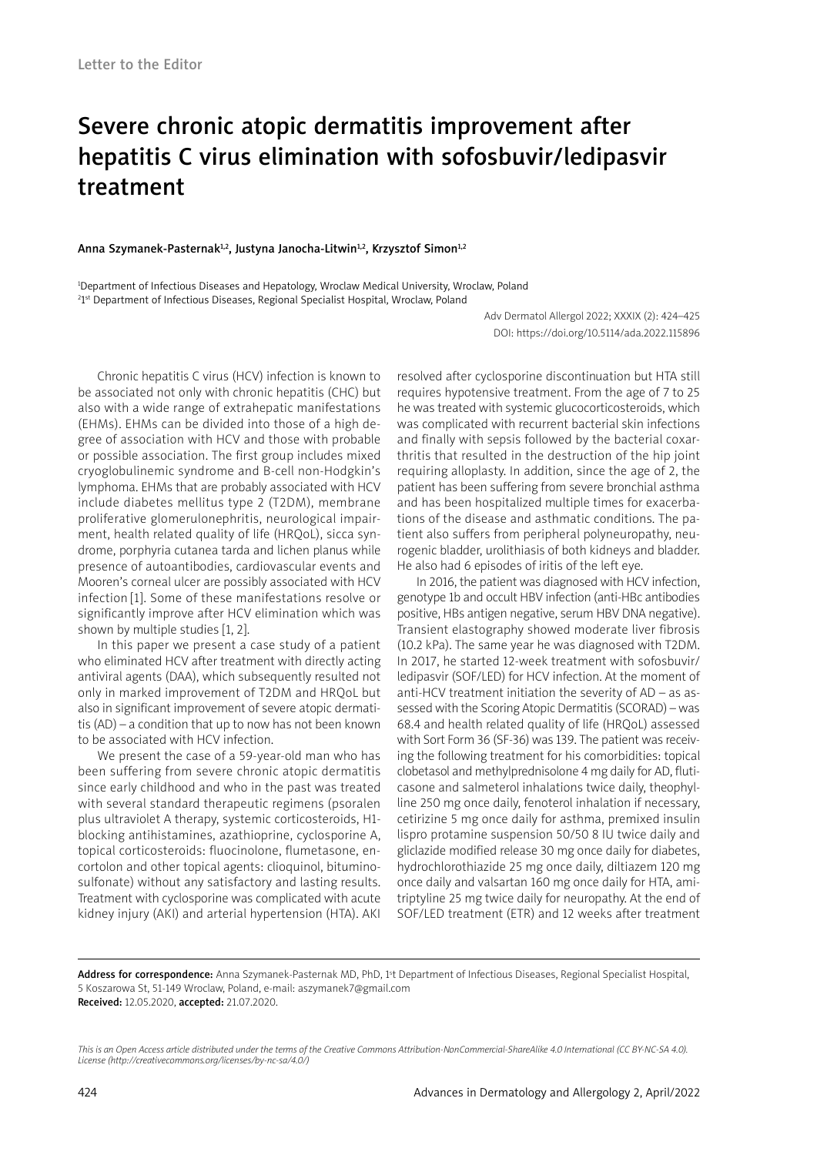# Severe chronic atopic dermatitis improvement after hepatitis C virus elimination with sofosbuvir/ledipasvir treatment

### Anna Szymanek-Pasternak<sup>1,2</sup>, Justyna Janocha-Litwin<sup>1,2</sup>, Krzysztof Simon<sup>1,2</sup>

1 Department of Infectious Diseases and Hepatology, Wroclaw Medical University, Wroclaw, Poland <sup>2</sup>1<sup>st</sup> Department of Infectious Diseases, Regional Specialist Hospital, Wroclaw, Poland

> Adv Dermatol Allergol 2022; XXXIX (2): 424–425 DOI: https://doi.org/10.5114/ada.2022.115896

Chronic hepatitis C virus (HCV) infection is known to be associated not only with chronic hepatitis (CHC) but also with a wide range of extrahepatic manifestations (EHMs). EHMs can be divided into those of a high degree of association with HCV and those with probable or possible association. The first group includes mixed cryoglobulinemic syndrome and B-cell non-Hodgkin's lymphoma. EHMs that are probably associated with HCV include diabetes mellitus type 2 (T2DM), membrane proliferative glomerulonephritis, neurological impairment, health related quality of life (HRQoL), sicca syndrome, porphyria cutanea tarda and lichen planus while presence of autoantibodies, cardiovascular events and Mooren's corneal ulcer are possibly associated with HCV infection [1]. Some of these manifestations resolve or significantly improve after HCV elimination which was shown by multiple studies [1, 2].

In this paper we present a case study of a patient who eliminated HCV after treatment with directly acting antiviral agents (DAA), which subsequently resulted not only in marked improvement of T2DM and HRQoL but also in significant improvement of severe atopic dermatitis (AD) – a condition that up to now has not been known to be associated with HCV infection.

We present the case of a 59-year-old man who has been suffering from severe chronic atopic dermatitis since early childhood and who in the past was treated with several standard therapeutic regimens (psoralen plus ultraviolet A therapy, systemic corticosteroids, H1 blocking antihistamines, azathioprine, cyclosporine A, topical corticosteroids: fluocinolone, flumetasone, encortolon and other topical agents: clioquinol, bituminosulfonate) without any satisfactory and lasting results. Treatment with cyclosporine was complicated with acute kidney injury (AKI) and arterial hypertension (HTA). AKI

resolved after cyclosporine discontinuation but HTA still requires hypotensive treatment. From the age of 7 to 25 he was treated with systemic glucocorticosteroids, which was complicated with recurrent bacterial skin infections and finally with sepsis followed by the bacterial coxarthritis that resulted in the destruction of the hip joint requiring alloplasty. In addition, since the age of 2, the patient has been suffering from severe bronchial asthma and has been hospitalized multiple times for exacerbations of the disease and asthmatic conditions. The patient also suffers from peripheral polyneuropathy, neurogenic bladder, urolithiasis of both kidneys and bladder. He also had 6 episodes of iritis of the left eye.

In 2016, the patient was diagnosed with HCV infection, genotype 1b and occult HBV infection (anti-HBc antibodies positive, HBs antigen negative, serum HBV DNA negative). Transient elastography showed moderate liver fibrosis (10.2 kPa). The same year he was diagnosed with T2DM. In 2017, he started 12-week treatment with sofosbuvir/ ledipasvir (SOF/LED) for HCV infection. At the moment of anti-HCV treatment initiation the severity of AD – as assessed with the Scoring Atopic Dermatitis (SCORAD) – was 68.4 and health related quality of life (HRQoL) assessed with Sort Form 36 (SF-36) was 139. The patient was receiving the following treatment for his comorbidities: topical clobetasol and methylprednisolone 4 mg daily for AD, fluticasone and salmeterol inhalations twice daily, theophylline 250 mg once daily, fenoterol inhalation if necessary, cetirizine 5 mg once daily for asthma, premixed insulin lispro protamine suspension 50/50 8 IU twice daily and gliclazide modified release 30 mg once daily for diabetes, hydrochlorothiazide 25 mg once daily, diltiazem 120 mg once daily and valsartan 160 mg once daily for HTA, amitriptyline 25 mg twice daily for neuropathy. At the end of SOF/LED treatment (ETR) and 12 weeks after treatment

Address for correspondence: Anna Szymanek-Pasternak MD, PhD, 1<sup>s</sup>t Department of Infectious Diseases, Regional Specialist Hospital, 5 Koszarowa St, 51-149 Wroclaw, Poland, e-mail: aszymanek7@gmail.com Received: 12.05.2020, accepted: 21.07.2020.

*This is an Open Access article distributed under the terms of the Creative Commons Attribution-NonCommercial-ShareAlike 4.0 International (CC BY-NC-SA 4.0). License (http://creativecommons.org/licenses/by-nc-sa/4.0/)*